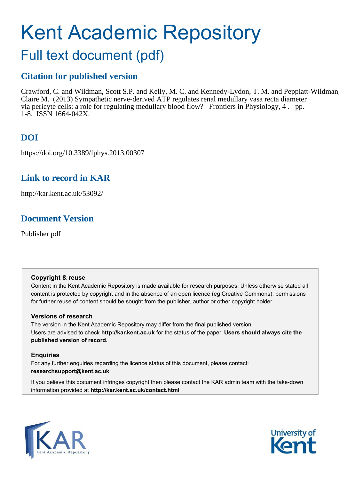# Kent Academic Repository

## Full text document (pdf)

## **Citation for published version**

Crawford, C. and Wildman, Scott S.P. and Kelly, M. C. and Kennedy-Lydon, T. M. and Peppiatt-Wildman, Claire M. (2013) Sympathetic nerve-derived ATP regulates renal medullary vasa recta diameter via pericyte cells: a role for regulating medullary blood flow? Frontiers in Physiology, 4 . pp. 1-8. ISSN 1664-042X.

## **DOI**

https://doi.org/10.3389/fphys.2013.00307

### **Link to record in KAR**

http://kar.kent.ac.uk/53092/

## **Document Version**

Publisher pdf

#### **Copyright & reuse**

Content in the Kent Academic Repository is made available for research purposes. Unless otherwise stated all content is protected by copyright and in the absence of an open licence (eg Creative Commons), permissions for further reuse of content should be sought from the publisher, author or other copyright holder.

#### **Versions of research**

The version in the Kent Academic Repository may differ from the final published version. Users are advised to check **http://kar.kent.ac.uk** for the status of the paper. **Users should always cite the published version of record.**

#### **Enquiries**

For any further enquiries regarding the licence status of this document, please contact: **researchsupport@kent.ac.uk**

If you believe this document infringes copyright then please contact the KAR admin team with the take-down information provided at **http://kar.kent.ac.uk/contact.html**



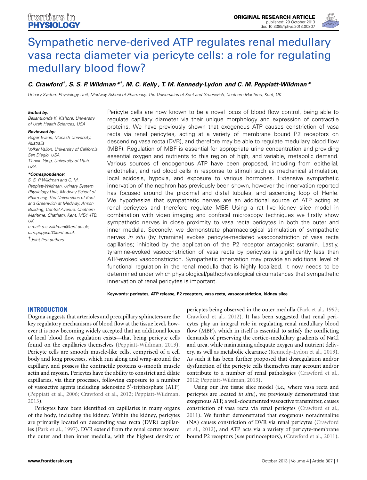

## Sympathetic nerve-derived ATP regulates renal medullary [vasa recta diameter via pericyte cells: a role for regulating](http://www.frontiersin.org/journal/10.3389/fphys.2013.00307/abstract) medullary blood flow?

#### *[C. Crawford](http://community.frontiersin.org/people/CarolCrawford/115916)† , [S. S. P. Wildman\\*](http://www.frontiersin.org/people/u/76743) † , M. C. Kelly , [T. M. Kennedy-Lydon](http://community.frontiersin.org/people/TeresaKennedy-Lydon/117710) and [C. M. Peppiatt-Wildman\\*](http://community.frontiersin.org/people/ClairePeppiatt-Wildman/106335)*

Urinary System Physiology Unit, Medway School of Pharmacy, The Universities of Kent and Greenwich, Chatham Maritime, Kent, UK

#### *Edited by:*

Bellamkonda K. Kishore, University of Utah Health Sciences, USA

#### *Reviewed by:*

Roger Evans, Monash University, Australia Volker Vallon, University of California San Diegio, USA Tianxin Yang, University of Utah, USA

#### *\*Correspondence:*

S. S. P. Wildman and C. M. Peppiatt-Wildman, Urinary System Physiology Unit, Medway School of Pharmacy, The Universities of Kent and Greenwich at Medway, Anson Building, Central Avenue, Chatham Maritime, Chatham, Kent, ME4 4TB,  $IIK$ 

e-mail: s.s.wildman@kent.ac.uk;

c.m.peppiatt@kent.ac.uk

†Joint first authors.

Pericyte cells are now known to be a novel locus of blood flow control, being able to regulate capillary diameter via their unique morphology and expression of contractile proteins. We have previously shown that exogenous ATP causes constriction of vasa recta via renal pericytes, acting at a variety of membrane bound P2 receptors on descending vasa recta (DVR), and therefore may be able to regulate medullary blood flow (MBF). Regulation of MBF is essential for appropriate urine concentration and providing essential oxygen and nutrients to this region of high, and variable, metabolic demand. Various sources of endogenous ATP have been proposed, including from epithelial, endothelial, and red blood cells in response to stimuli such as mechanical stimulation, local acidosis, hypoxia, and exposure to various hormones. Extensive sympathetic innervation of the nephron has previously been shown, however the innervation reported has focused around the proximal and distal tubules, and ascending loop of Henle. We hypothesize that sympathetic nerves are an additional source of ATP acting at renal pericytes and therefore regulate MBF. Using a rat live kidney slice model in combination with video imaging and confocal microscopy techniques we firstly show sympathetic nerves in close proximity to vasa recta pericytes in both the outer and inner medulla. Secondly, we demonstrate pharmacological stimulation of sympathetic nerves in situ (by tyramine) evokes pericyte-mediated vasoconstriction of vasa recta capillaries; inhibited by the application of the P2 receptor antagonist suramin. Lastly, tyramine-evoked vasoconstriction of vasa recta by pericytes is significantly less than ATP-evoked vasoconstriction. Sympathetic innervation may provide an additional level of functional regulation in the renal medulla that is highly localized. It now needs to be determined under which physiological/pathophysiological circumstances that sympathetic innervation of renal pericytes is important.

#### **Keywords: pericytes, ATP release, P2 receptors, vasa recta, vasoconstriction, kidney slice**

#### **INTRODUCTION**

Dogma suggests that arterioles and precapillary sphincters are the key regulatory mechanisms of blood flow at the tissue level, however it is now becoming widely accepted that an additional locus of local blood flow regulation exists—that being pericyte cells found on the capillaries themselves [\(Peppiatt-Wildman, 2013](#page-7-0)). Pericyte cells are smooth muscle-like cells, comprised of a cell body and long processes, which run along and wrap-around the capillary, and possess the contractile proteins α-smooth muscle actin and myosin. Pericytes have the ability to constrict and dilate capillaries, via their processes, following exposure to a number of vasoactive agents including adenosine 5′ -triphosphate (ATP) [\(Peppiatt et al.](#page-7-1), [2006;](#page-7-1) [Crawford et al., 2012](#page-6-0); [Peppiatt-Wildman,](#page-7-0) [2013](#page-7-0)).

Pericytes have been identified on capillaries in many organs of the body, including the kidney. Within the kidney, pericytes are primarily located on descending vasa recta (DVR) capillaries [\(Park et al., 1997\)](#page-7-2). DVR extend from the renal cortex toward the outer and then inner medulla, with the highest density of pericytes being observed in the outer medulla [\(Park et al.](#page-7-2), [1997;](#page-7-2) [Crawford et al., 2012\)](#page-6-0). It has been suggested that renal pericytes play an integral role in regulating renal medullary blood flow (MBF), which in itself is essential to satisfy the conflicting demands of preserving the cortico-medullary gradients of NaCl and urea, while maintaining adequate oxygen and nutrient delivery, as well as metabolic clearance [\(Kennedy-Lydon et al., 2013](#page-7-3)). As such it has been further proposed that dysregulation and/or dysfunction of the pericyte cells themselves may account and/or contribute to a number of renal pathologies [\(Crawford et al.,](#page-6-0) [2012](#page-6-0); [Peppiatt-Wildman, 2013](#page-7-0)).

Using our live tissue slice model (i.e., where vasa recta and pericytes are located *in situ*), we previously demonstrated that exogenous ATP, a well-documented vasoactive transmitter, causes constriction of vasa recta via renal pericytes [\(Crawford et al.,](#page-6-1) [2011](#page-6-1)). We further demonstrated that exogenous noradrenaline (NA) causes constriction of DVR via renal pericytes (Crawford et al., [2012\)](#page-6-0), and ATP acts via a variety of pericyte-membrane bound P2 receptors (*nee* purinoceptors), [\(Crawford et al.](#page-6-1), [2011](#page-6-1)).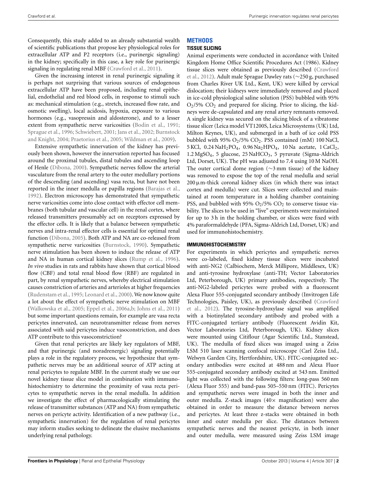Consequently, this study added to an already substantial wealth of scientific publications that propose key physiological roles for extracellular ATP and P2 receptors (i.e., purinergic signaling) in the kidney; specifically in this case, a key role for purinergic signaling in regulating renal MBF [\(Crawford et al.](#page-6-1), [2011\)](#page-6-1).

Given the increasing interest in renal purinergic signaling it is perhaps not surprising that various sources of endogenous extracellular ATP have been proposed, including renal epithelial, endothelial and red blood cells, in response to stimuli such as: mechanical stimulation (e.g., stretch, increased flow rate, and osmotic swelling), local acidosis, hypoxia, exposure to various hormones (e.g., vasopressin and aldosterone), and to a lesser extent from sympathetic nerve varicosities [\(Bodin et al.](#page-6-2), [1991;](#page-6-2) [Sprague et al.](#page-7-4)[,](#page-6-3) [1996](#page-7-4)[;](#page-6-3) [Schwiebert](#page-7-5)[,](#page-6-3) [2001](#page-7-5)[;](#page-6-3) [Jans et al.](#page-7-6)[,](#page-6-3) [2002](#page-7-6)[;](#page-6-3) Burnstock and Knight, [2004;](#page-6-3) [Praetorius et al.](#page-7-7), [2005](#page-7-7); [Wildman et al., 2009](#page-7-8)).

Extensive sympathetic innervation of the kidney has previously been shown, however the innervation reported has focused around the proximal tubules, distal tubules and ascending loop of Henle [\(Dibona](#page-6-4), [2000\)](#page-6-4). Sympathetic nerves follow the arterial vasculature from the renal artery to the outer medullary portions of the descending (and ascending) vasa recta, but have not been reported in the inner medulla or papilla regions [\(Barajas et al.](#page-6-5), [1992](#page-6-5)). Electron microscopy has demonstrated that sympathetic nerve varicosities come into close contact with effector cell membranes (both tubular and vascular cell) in the renal cortex, where released transmitters presumably act on receptors expressed by the effector cells. It is likely that a balance between sympathetic nerves and intra-renal effector cells is essential for optimal renal function [\(Dibona](#page-6-6), [2005](#page-6-6)). Both ATP and NA are co-released from sympathetic nerve varicosities [\(Burnstock, 1990\)](#page-6-7). Sympathetic nerve stimulation has been shown to induce the release of ATP and NA in human cortical kidney slices [\(Rump et al.](#page-7-9), [1996](#page-7-9)). *In vivo* studies in rats and rabbits have shown that cortical blood flow (CBF) and total renal blood flow (RBF) are regulated in part, by renal sympathetic nerves, whereby electrical stimulation causes constriction of arteries and arterioles at higher frequencies [\(Rudenstam et al.](#page-7-10), [1995](#page-7-10); [Leonard et al.](#page-7-11), [2000](#page-7-11)). We now know quite a lot about the effect of sympathetic nerve stimulation on MBF [\(Walkowska et al.](#page-7-12), [2005](#page-7-12); [Eppel et al.](#page-6-8), [2006a](#page-6-8)[,b;](#page-6-9) [Johns et al.](#page-7-13), [2011](#page-7-13)) but some important questions remain, for example are vasa recta pericytes innervated, can neurotransmitter release from nerves associated with said pericytes induce vasoconstriction, and does ATP contribute to this vasoconstriction?

Given that renal pericytes are likely key regulators of MBF, and that purinergic (and noradrenergic) signaling potentially plays a role in the regulatory process, we hypothesize that sympathetic nerves may be an additional source of ATP acting at renal pericytes to regulate MBF. In the current study we use our novel kidney tissue slice model in combination with immunohistochemistry to determine the proximity of vasa recta pericytes to sympathetic nerves in the renal medulla. In addition we investigate the effect of pharmacologically stimulating the release of transmitter substances (ATP and NA) from sympathetic nerves on pericyte activity. Identification of a new pathway (i.e., sympathetic innervation) for the regulation of renal pericytes may inform studies seeking to delineate the elusive mechanisms underlying renal pathology.

#### **METHODS TISSUE SLICING**

Animal experiments were conducted in accordance with United Kingdom Home Office Scientific Procedures Act (1986). Kidney tissu[e slices were obtained as previously described \(](#page-6-0)Crawford et al., [2012\)](#page-6-0). Adult male Sprague Dawley rats (∼250 g, purchased from Charles River UK Ltd., Kent, UK) were killed by cervical dislocation; their kidneys were immediately removed and placed in ice-cold physiological saline solution (PSS) bubbled with 95%  $O<sub>2</sub>/5% CO<sub>2</sub>$  and prepared for slicing. Prior to slicing, the kidneys were de-capsulated and any renal artery remnants removed. A single kidney was secured on the slicing block of a vibratome tissue slicer (Leica model VT1200S, Leica Microsystems (UK) Ltd, Milton Keynes, UK), and submerged in a bath of ice cold PSS bubbled with 95%  $O_2/5$ %  $CO_2$ . PSS contained (mM) 100 NaCl, 5 KCl, 0.24 NaH<sub>2</sub>PO<sub>4</sub>, 0.96 Na<sub>2</sub>HPO<sub>4</sub>, 10 Na acetate, 1 CaCl<sub>2</sub>, 1.2 MgSO<sub>4</sub>, 5 glucose, 25 NaHCO<sub>3</sub>, 5 pyruvate (Sigma-Aldrich Ltd, Dorset, UK). The pH was adjusted to 7.4 using 10 M NaOH. The outer cortical dome region (∼3 mm tissue) of the kidney was removed to expose the top of the renal medulla and serial  $200 \mu$ m-thick coronal kidney slices (in which there was intact cortex and medulla) were cut. Slices were collected and maintained at room temperature in a holding chamber containing PSS, and bubbled with 95%  $O_2/5\%$   $CO_2$  to conserve tissue viability. The slices to be used in "live" experiments were maintained for up to 3 h in the holding chamber, or slices were fixed with 4% paraformaldehyde (PFA, Sigma-Aldrich Ltd, Dorset, UK) and used for immunohistochemistry.

#### **IMMUNOHISTOCHEMISTRY**

<span id="page-2-0"></span>For experiments in which pericytes and sympathetic nerves were co-labeled, fixed kidney tissue slices were incubated with anti-NG2 (Calbiochem, Merck Millipore, Middlesex, UK) and anti-tyrosine hydroxylase (anti-TH; Vector Laboratories Ltd, Peterborough, UK) primary antibodies, respectively. The anti-NG2-labeled pericytes were probed with a fluorescent Alexa Fluor 555-conjugated secondary antibody (Invitrogen Life Tech[nologies, Paisley, UK\), as previously described \(](#page-6-0)Crawford et al., [2012](#page-6-0)). The tyrosine-hydroxylase signal was amplified with a biotinylated secondary antibody and probed with a FITC-conjugated tertiary antibody (Fluorescent Avidin Kit, Vector Laboratories Ltd, Peterborough, UK). Kidney slices were mounted using Citiflour (Agar Scientific Ltd., Stanstead, UK). The medulla of fixed slices was imaged using a Zeiss LSM 510 laser scanning confocal microscope (Carl Zeiss Ltd., Welwyn Garden City, Hertfordshire, UK). FITC-conjugated secondary antibodies were excited at 488 nm and Alexa Fluor 555-conjugated secondary antibody excited at 543 nm. Emitted light was collected with the following filters: long-pass 560 nm (Alexa Fluor 555) and band-pass 505–550 nm (FITC). Pericytes and sympathetic nerves were imaged in both the inner and outer medulla. Z-stack images  $(40 \times$  magnification) were also obtained in order to measure the distance between nerves and pericytes. At least three z-stacks were obtained in both inner and outer medulla per slice. The distances between sympathetic nerves and the nearest pericyte, in both inner and outer medulla, were measured using Zeiss LSM image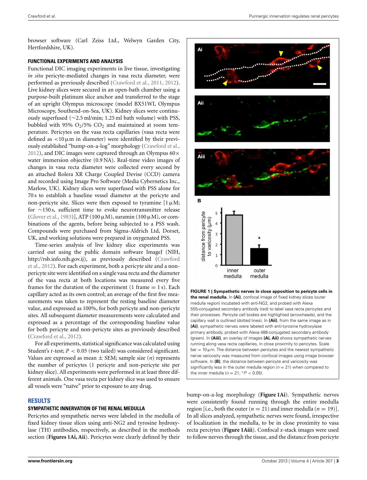browser software (Carl Zeiss Ltd., Welwyn Garden City, Hertfordshire, UK).

#### **FUNCTIONAL EXPERIMENTS AND ANALYSIS**

Functional DIC imaging experiments in live tissue, investigating *in situ* pericyte-mediated changes in vasa recta diameter, were performed as previously described [\(Crawford et al., 2011](#page-6-1), [2012](#page-6-0)). Live kidney slices were secured in an open-bath chamber using a purpose-built platinum slice anchor and transferred to the stage of an upright Olympus microscope (model BX51WI, Olympus Microscopy, Southend-on-Sea, UK). Kidney slices were continuously superfused (∼2.5 ml/min; 1.25 ml bath volume) with PSS, bubbled with 95%  $O_2/5$ %  $CO_2$  and maintained at room temperature. Pericytes on the vasa recta capillaries (vasa recta were defined as  $\langle 10 \mu m \rangle$  in diameter) were identified by their previously established "bump-on-a-log" morphology [\(Crawford et al.,](#page-6-0) [2012](#page-6-0)), and DIC images were captured through an Olympus  $60 \times$ water immersion objective (0.9 NA). Real-time video images of changes in vasa recta diameter were collected every second by an attached Rolera XR Charge Coupled Devise (CCD) camera and recorded using Image Pro Software (Media Cybernetics Inc., Marlow, UK). Kidney slices were superfused with PSS alone for 70 s to establish a baseline vessel diameter at the pericyte and non-pericyte site. Slices were then exposed to tyramine  $[1 \mu M;$ for ∼150 s, sufficient time to evoke neurotransmitter release [\(Glover et al., 1983](#page-7-14))], ATP (100  $\mu$ M), suramin (100  $\mu$ M), or combinations of the agents, before being subjected to a PSS wash. Compounds were purchased from Sigma-Aldrich Ltd, Dorset, UK, and working solutions were prepared in oxygenated PSS.

Time-series analysis of live kidney slice experiments was carried out using the public domain software ImageJ (NIH, [http://rsb.info.nih.gov.ij\)](http://rsb.info.nih.gov.ij)[, as previously described \(](#page-6-0)Crawford et al., [2012\)](#page-6-0). For each experiment, both a pericyte site and a nonpericyte site were identified on a single vasa recta and the diameter of the vasa recta at both locations was measured every five frames for the duration of the experiment  $(1 \text{ frame} = 1 \text{ s})$ . Each capillary acted as its own control; an average of the first five measurements was taken to represent the resting baseline diameter value, and expressed as 100%, for both pericyte and non-pericyte sites. All subsequent diameter measurements were calculated and expressed as a percentage of the corresponding baseline value for both pericyte and non-pericyte sites as previously described [\(Crawford et al.](#page-6-0), [2012\)](#page-6-0).

For all experiments, statistical significance was calculated using Student's *t*-test; *P* < 0.05 (two tailed) was considered significant. Values are expressed as mean  $\pm$  SEM; sample size  $(n)$  represents the number of pericytes (1 pericyte and non-pericyte site per kidney slice). All experiments were performed in at least three different animals. One vasa recta per kidney slice was used to ensure all vessels were "naïve" prior to exposure to any drug.

#### **RESULTS**

#### **SYMPATHETIC INNERVATION OF THE RENAL MEDULLA**

Pericytes and sympathetic nerves were labeled in the medulla of fixed kidney tissue slices using anti-NG2 and tyrosine hydroxylase (TH) antibodies, respectively, as described in the methods section (**[Figures 1Ai, Aii](#page-2-0)**). Pericytes were clearly defined by their



<span id="page-3-0"></span>

bump-on-a-log morphology (**[Figure 1Ai](#page-2-0)**). Sympathetic nerves were consistently found running through the entire medulla region [i.e., both the outer ( $n = 21$ ) and inner medulla ( $n = 19$ )]. In all slices analyzed, sympathetic nerves were found, irrespective of localization in the medulla, to be in close proximity to vasa recta perciytes (**[Figure 1Aiii](#page-2-0)**). Confocal z-stack images were used to follow nerves through the tissue, and the distance from pericyte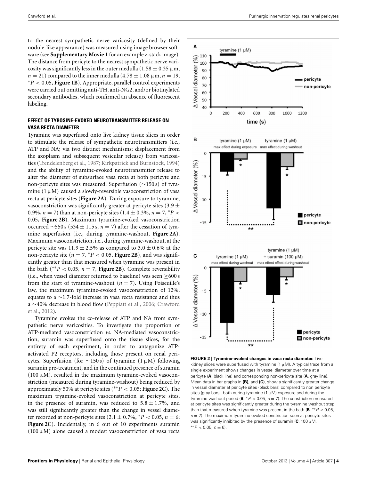to the nearest sympathetic nerve varicosity (defined by their nodule-like appearance) was measured using image browser software (see **[Supplementary Movie 1](#page-6-10)** for an example z-stack image). The distance from pericyte to the nearest sympathetic nerve varicosity was significantly less in the outer medulla (1.58  $\pm$  0.35  $\mu$ m,  $n = 21$ ) compared to the inner medulla  $(4.78 \pm 1.08 \,\mu \text{m}, n = 19,$ <sup>∗</sup>*P* < 0.05, **[Figure 1B](#page-2-0)**). Appropriate, parallel control experiments were carried out omitting anti-TH, anti-NG2, and/or biotinylated secondary antibodies, which confirmed an absence of fluorescent labeling.

#### **EFFECT OF TYROSINE-EVOKED NEUROTRANSMITTER RELEASE ON VASA RECTA DIAMETER**

Tyramine was superfused onto live kidney tissue slices in order to stimulate the release of sympathetic neurotransmitters (i.e., ATP and NA; via two distinct mechanisms; displacement from the axoplasm and subsequent vesicular release) from varicosities [\(Trendelenberg et al., 1987](#page-7-15); [Kirkpatrick and Burnstock, 1994](#page-7-16)) and the ability of tyramine-evoked neurotransmitter release to alter the diameter of subsurface vasa recta at both pericyte and non-pericyte sites was measured. Superfusion (∼150 s) of tyramine  $(1 \mu M)$  caused a slowly-reversible vasoconstriction of vasa recta at pericyte sites (**[Figure 2A](#page-3-0)**). During exposure to tyramine, vasoconstriction was significantly greater at pericyte sites  $(3.9 \pm 1)$ 0.9%,  $n = 7$ ) than at non-pericyte sites  $(1.4 \pm 0.3\%, n = 7, *P <$ 0.05, **[Figure 2B](#page-3-0)**). Maximum tyramine-evoked vasoconstriction occurred ∼550 s (534 ± 115 s, *n* = 7) after the cessation of tyramine superfusion (i.e., during tyramine-washout, **[Figure 2A](#page-3-0)**). Maximum vasoconstriction, i.e., during tyramine-washout, at the pericyte site was  $11.9 \pm 2.5\%$  as compared to  $3.0 \pm 0.6\%$  at the non-pericyte site ( $n = 7, *P < 0.05$ , **[Figure 2B](#page-3-0)**), and was significantly greater than that measured when tyramine was present in the bath ( $*P < 0.05$ ,  $n = 7$ , **[Figure 2B](#page-3-0)**). Complete reversibility (i.e., when vessel diameter returned to baseline) was seen  $\geq$ 600 s from the start of tyramine-washout  $(n = 7)$ . Using Poiseuille's law, the maximum tyramine-evoked vasoconstriction of 12%, equates to a ∼1.7-fold increase in vasa recta resistance and thus a ∼[40% decrease in blood flow](#page-6-0) [\(Peppiatt et al., 2006](#page-7-1)[;](#page-6-0) Crawford et al., [2012\)](#page-6-0).

<span id="page-4-0"></span>Tyramine evokes the co-release of ATP and NA from sympathetic nerve varicosities. To investigate the proportion of ATP-mediated vasoconstriction *vs*. NA-mediated vasoconstriction, suramin was superfused onto the tissue slices, for the entirety of each experiment, in order to antagonize ATPactivated P2 receptors, including those present on renal pericytes. Superfusion (for ∼150 s) of tyramine (1µM) following suramin pre-treatment, and in the continued presence of suramin  $(100 \,\mu\text{M})$ , resulted in the maximum tyramine-evoked vasoconstriction (measured during tyramine-washout) being reduced by approximately 50% at pericyte sites (∗∗*P* < 0.05; **[Figure 2C](#page-3-0)**). The maximum tryamine-evoked vasoconstriction at pericyte sites, in the presence of suramin, was reduced to  $5.8 \pm 1.7\%$ , and was still significantly greater than the change in vessel diameter recorded at non-pericyte sites  $(2.1 \pm 0.7\%, *P < 0.05, n = 6;$ **[Figure 2C](#page-3-0)**). Incidentally, in 6 out of 10 experiments suramin  $(100 \,\mu M)$  alone caused a modest vasoconstriction of vasa recta



**FIGURE 2 | Tyramine-evoked changes in vasa recta diameter.** Live kidney slices were superfused with tyramine  $(1 \mu M)$ . A typical trace from a single experiment shows changes in vessel diameter over time at a pericyte (**A**, black line) and corresponding non-pericyte site (**A**, gray line). Mean data in bar graphs in **(B)**, and **(C)**, show a significantly greater change in vessel diameter at pericyte sites (black bars) compared to non pericyte sites (gray bars), both during tyramine (1  $\mu$ M) exposure and during the tyramine-washout period ( $\mathbf{B}$ ,  $*P < 0.05$ ,  $n = 7$ ). The constriction measured at pericyte sites was significantly greater during the tyramine washout step than that measured when tyramine was present in the bath  $(B, **P < 0.05)$  $n = 7$ ). The maximum tyramine-evoked constriction seen at pericyte sites was significantly inhibited by the presence of suramin (**C**, 100µM,  $*P$  < 0.05, n = 6).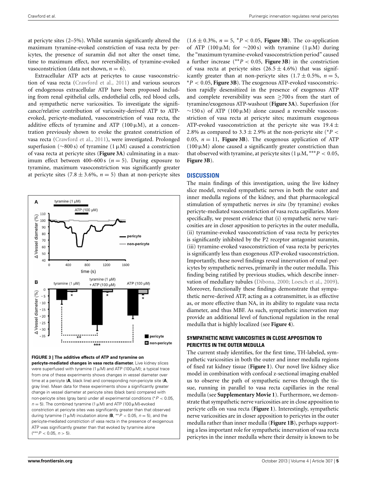at pericyte sites (2–5%). Whilst suramin significantly altered the maximum tyramine-evoked constriction of vasa recta by pericytes, the presence of suramin did not alter the onset time, time to maximum effect, nor reversibility, of tyramine-evoked vasoconstriction (data not shown,  $n = 6$ ).

<span id="page-5-0"></span>Extracellular ATP acts at pericytes to cause vasoconstriction of vasa recta [\(Crawford et al., 2011](#page-6-1)) and various sources of endogenous extracellular ATP have been proposed including from renal epithelial cells, endothelial cells, red blood cells, and sympathetic nerve varicosities. To investigate the significance/relative contribution of varicosity-derived ATP to ATPevoked, pericyte-mediated, vasoconstriction of vasa recta, the additive effects of tyramine and ATP ( $100 \mu M$ ), at a concentration previously shown to evoke the greatest constriction of vasa recta [\(Crawford et al.](#page-6-1), [2011](#page-6-1)), were investigated. Prolonged superfusion (∼800 s) of tyramine (1µM) caused a constriction of vasa recta at pericyte sites (**[Figure 3A](#page-4-0)**) culminating in a maximum effect between  $400-600 s$  ( $n = 5$ ). During exposure to tyramine, maximum vasoconstriction was significantly greater at pericyte sites  $(7.8 \pm 3.6\%, n = 5)$  than at non-pericyte sites



**FIGURE 3 | The additive effects of ATP and tyramine on pericyte-mediated changes in vasa recta diameter.** Live kidney slices were superfused with tyramine (1  $\mu$ M) and ATP (100  $\mu$ M); a typical trace from one of these experiments shows changes in vessel diameter over time at a pericyte (**A**, black line) and corresponding non-pericyte site (**A**, gray line). Mean data for these experiments show a significantly greater change in vessel diameter at pericyte sites (black bars) compared with non-pericyte sites (gray bars) under all experimental conditions ( $P < 0.05$ )  $n = 5$ ). The combined tyramine (1  $\mu$ M) and ATP (100  $\mu$ M)-evoked constriction at pericyte sites was significantly greater than that observed during tyramine (1  $\mu$ M) incubation alone (**B**, \*\* P < 0.05, n = 5), and the pericyte-mediated constriction of vasa recta in the presence of exogenous ATP was significantly greater than that evoked by tyramine alone  $(***P < 0.05, n > 5).$ 

 $(1.6 \pm 0.3\%, n = 5, *P < 0.05,$  **[Figure 3B](#page-4-0)**). The co-application of ATP (100µM; for  $\sim$ 200 s) with tyramine (1µM) during the "maximum tyramine-evoked vasoconstriction period" caused a further increase (∗∗*P* < 0.05, **[Figure 3B](#page-4-0)**) in the constriction of vasa recta at pericyte sites  $(26.5 \pm 4.6\%)$  that was significantly greater than at non-pericyte sites  $(1.7 \pm 0.5\%, n = 5,$ <sup>∗</sup>*P* < 0.05, **[Figure 3B](#page-4-0)**). The exogenous ATP-evoked vasoconstriction rapidly desensitized in the presence of exogenous ATP and complete reversibility was seen >700 s from the start of tyramine/exogenous ATP-washout (**[Figure 3A](#page-4-0)**). Superfusion (for  $\sim$ 150 s) of ATP (100 µM) alone caused a reversible vasoconstriction of vasa recta at pericyte sites; maximum exogenous ATP-evoked vasoconstriction at the pericyte site was  $19.4 \pm$ 2.8% as compared to 3.3  $\pm$  2.9% at the non-pericyte site ( $P$  < 0.05,  $n = 11$ , **[Figure 3B](#page-4-0)**). The exogenous application of ATP  $(100 \,\mu M)$  alone caused a significantly greater constriction than that observed with tyramine, at pericyte sites  $(1 \mu M, **P < 0.05,$ **[Figure 3B](#page-4-0)**).

#### **DISCUSSION**

The main findings of this investigation, using the live kidney slice model, revealed sympathetic nerves in both the outer and inner medulla regions of the kidney, and that pharmacological stimulation of sympathetic nerves *in situ* (by tyramine) evokes pericyte-mediated vasoconstriction of vasa recta capillaries. More specifically, we present evidence that (i) sympathetic nerve varicosities are in closer apposition to pericytes in the outer medulla, (ii) tyramine-evoked vasoconstriction of vasa recta by pericytes is significantly inhibited by the P2 receptor antagonist suramin, (iii) tyramine-evoked vasoconstriction of vasa recta by pericytes is significantly less than exogenous ATP-evoked vasoconstriction. Importantly, these novel findings reveal innervation of renal pericytes by sympathetic nerves, primarily in the outer medulla. This finding being ratified by previous studies, which describe innervation of medullary tubules [\(Dibona, 2000](#page-6-4); [Loesch et al., 2009](#page-7-17)). Moreover, functionally these findings demonstrate that sympathetic nerve-derived ATP, acting as a cotransmitter, is as effective as, or more effective than NA, in its ability to regulate vasa recta diameter, and thus MBF. As such, sympathetic innervation may provide an additional level of functional regulation in the renal medulla that is highly localized (see **[Figure 4](#page-5-0)**).

#### **SYMPATHETIC NERVE VARICOSITIES IN CLOSE APPOSITION TO PERICYTES IN THE OUTER MEDULLA**

The current study identifies, for the first time, TH-labeled, sympathetic varicosities in both the outer and inner medulla regions of fixed rat kidney tissue (**[Figure 1](#page-2-0)**). Our novel live kidney slice model in combination with confocal z-sectional imaging enabled us to observe the path of sympathetic nerves through the tissue, running in parallel to vasa recta capillaries in the renal medulla (see **[Supplementary Movie 1](#page-6-10)**). Furthermore, we demonstrate that sympathetic nerve varicosities are in close apposition to pericyte cells on vasa recta (**[Figure 1](#page-2-0)**). Interestingly, sympathetic nerve varicosities are in closer apposition to pericytes in the outer medulla rather than inner medulla (**[Figure 1B](#page-2-0)**), perhaps supporting a less important role for sympathetic innervation of vasa recta pericytes in the inner medulla where their density is known to be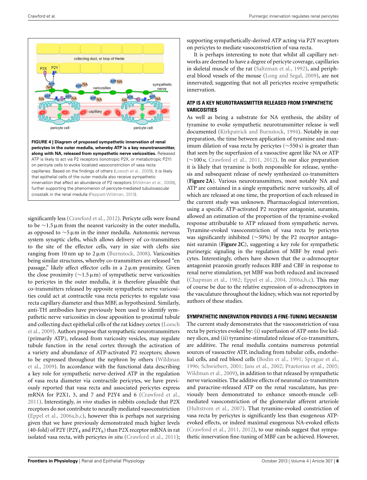

<span id="page-6-15"></span><span id="page-6-7"></span><span id="page-6-5"></span><span id="page-6-2"></span>significantly less [\(Crawford et al.](#page-6-0), [2012\)](#page-6-0). Pericyte cells were found to be ∼1.5µm from the nearest varicosity in the outer medulla, as opposed to ∼5µm in the inner medulla. Autonomic nervous system synaptic clefts, which allows delivery of co-transmitters to the site of the effector cells, vary in size with clefts size ranging from 10 nm up to  $2 \mu$ m [\(Burnstock](#page-6-11), [2008\)](#page-6-11). Varicosities being similar structures, whereby co-transmitters are released "en passage," likely affect effector cells in a  $2 \mu m$  proximity. Given the close proximity ( $\sim$ 1.5µm) of sympathetic nerve varicosities to pericytes in the outer medulla, it is therefore plausible that co-transmitters released by apposite sympathetic nerve varicosities could act at contractile vasa recta pericytes to regulate vasa recta capillary diameter and thus MBF, as hypothesized. Similarly, anti-TH antibodies have previously been used to identify sympathetic nerve varicosities in close apposition to proximal tubule and [collecting duct epithelial cells of the rat kidney cortex \(](#page-7-17)Loesch et al., [2009](#page-7-17)). Authors propose that sympathetic neurotransmitters (primarily ATP), released from varicosity vesicles, may regulate tubule function in the renal cortex through the activation of a variety and abundance of ATP-activated P2 receptors; shown to b[e expressed throughout the nephron by others \(](#page-7-8)Wildman et al., [2009](#page-7-8)). In accordance with the functional data describing a key role for sympathetic nerve-derived ATP in the regulation of vasa recta diameter via contractile pericytes, we have previously reported that vasa recta and associated pericytes express mRNA for P2X1, 3, and 7 and P2Y4 and 6 [\(Crawford et al.](#page-6-1), [2011](#page-6-1)). Interestingly, *in vivo* studies in rabbits conclude that P2X receptors do not contribute to neurally mediated vasoconstriction [\(Eppel et al.](#page-6-8), [2006a](#page-6-8)[,b](#page-6-9)[,c\)](#page-6-12), however this is perhaps not surprising given that we have previously demonstrated much higher levels (40-fold) of P2Y (P2Y<sub>4</sub> and P2Y<sub>6</sub>) than P2X receptor mRNA in rat isolated vasa recta, with pericytes *in situ* [\(Crawford et al., 2011](#page-6-1));

supporting sympathetically-derived ATP acting via P2Y receptors on pericytes to mediate vasoconstriction of vasa recta.

It is perhaps interesting to note that whilst all capillary networks are deemed to have a degree of pericyte coverage, capillaries in skeletal muscle of the rat [\(Saltzman et al.](#page-7-19), [1992](#page-7-19)), and peripheral blood vessels of the mouse [\(Long and Segal, 2009](#page-7-20)), are not innervated; suggesting that not all pericytes receive sympathetic innervation.

#### **ATP IS A KEY NEUROTRANSMITTER RELEASED FROM SYMPATHETIC VARICOSITIES**

<span id="page-6-10"></span>As well as being a substrate for NA synthesis, the ability of tyramine to evoke sympathetic neurotransmitter release is well documented [\(Kirkpatrick and Burnstock](#page-7-16), [1994\)](#page-7-16). Notably in our preparation, the time between application of tyramine and maximum dilation of vasa recta by pericytes (∼550 s) is greater than that seen by the superfusion of a vasoactive agent like NA or ATP (∼100 s; [Crawford et al.](#page-6-1), [2011](#page-6-1), [2012](#page-6-0)). In our slice preparation it is likely that tyramine is both responsible for release, synthesis and subsequent release of newly synthesized co-transmitters (**[Figure 2A](#page-3-0)**). Various neurotransmitters, most notably NA and ATP are contained in a single sympathetic nerve varicosity, all of which are released at one time, the proportion of each released in the current study was unknown. Pharmacological intervention, using a specific ATP-activated P2 receptor antagonist, suramin, allowed an estimation of the proportion of the tyramine-evoked response attributable to ATP released from sympathetic nerves. Tyramine-evoked vasoconstriction of vasa recta by pericytes was significantly inhibited (∼50%) by the P2 receptor antagonist suramin (**[Figure 2C](#page-3-0)**), suggesting a key role for sympathetic purinergic signaling in the regulation of MBF by renal pericytes. Interestingly, others have shown that the α-adrenoceptor antagonist prazosin greatly reduces RBF and CBF in response to renal nerve stimulation, yet MBF was both reduced and increased [\(Chapman et al.](#page-6-13), [1982](#page-6-13); [Eppel et al., 2004](#page-6-14), [2006a](#page-6-8)[,b](#page-6-9)[,c\)](#page-6-12). This may of course be due to the relative expression of α-adrenoceptors in the vasculature throughout the kidney, which was not reported by authors of these studies.

#### <span id="page-6-8"></span><span id="page-6-4"></span><span id="page-6-3"></span>**SYMPATHETIC INNERVATION PROVIDES A FINE-TUNING MECHANISM**

<span id="page-6-17"></span><span id="page-6-16"></span><span id="page-6-14"></span><span id="page-6-13"></span><span id="page-6-12"></span><span id="page-6-11"></span><span id="page-6-9"></span><span id="page-6-6"></span><span id="page-6-1"></span><span id="page-6-0"></span>The current study demonstrates that the vasoconstriction of vasa recta by pericytes evoked by: (i) superfusion of ATP onto live kidney slices, and (ii) tyramine-stimulated release of co-transmitters, are additive. The renal medulla contains numerous potential sources of vasoactive ATP, including from tubular cells, endothelial cells, and red blood cells [\(Bodin et al., 1991](#page-6-2); [Sprague et al.](#page-7-4), [1996](#page-7-4); [Schwiebert](#page-7-5), [2001;](#page-7-5) [Jans et al.](#page-7-6), [2002;](#page-7-6) [Praetorius et al., 2005](#page-7-7); [Wildman et al., 2009](#page-7-8)), in addition to that released by sympathetic nerve varicosities. The additive effects of neuronal co-transmitters and paracrine-released ATP on the renal vasculature, has previously been demonstrated to enhance smooth-muscle cellmediated vasoconstriction of the glomerular afferent arteriole [\(Hultstrom et al.](#page-7-21), [2007](#page-7-21)). That tyramine-evoked constriction of vasa recta by pericytes is significantly less than exogenous ATPevoked effects, or indeed maximal exogenous NA-evoked effects [\(Crawford et al.](#page-6-1), [2011,](#page-6-1) [2012](#page-6-0)), to our minds suggest that sympathetic innervation fine-tuning of MBF can be achieved. However,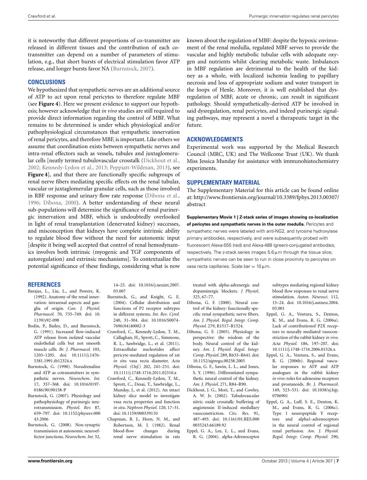<span id="page-7-17"></span><span id="page-7-14"></span>it is noteworthy that different proportions of co-transmitter are released in different tissues and the contribution of each cotransmitter can depend on a number of parameters of stimulation, e.g., that short bursts of electrical stimulation favor ATP release, and longer bursts favor NA [\(Burnstock](#page-6-15), [2007](#page-6-15)).

#### **CONCLUSIONS**

<span id="page-7-21"></span><span id="page-7-20"></span><span id="page-7-6"></span><span id="page-7-2"></span>We hypothesized that sympathetic nerves are an additional source of ATP to act upon renal pericytes to therefore regulate MBF (see **[Figure 4](#page-5-0)**). Here we present evidence to support our hypothesis; however acknowledge that *in vivo* studies are still required to provide direct information regarding the control of MBF. What remains to be determined is under which physiological and/or pathophysiological circumstances that sympathetic innervation of renal pericytes, and therefore MBF, is important. Like others we assume that coordination exists between sympathetic nerves and intra-renal effectors such as vessels, tubules and juxtaglomerular cells [neatly termed tubulovascular crosstalk [\(Dickhout et al.,](#page-6-16) [2002](#page-6-16); [Kennedy-Lydon et al.](#page-7-3), [2013](#page-7-3); [Peppiatt-Wildman, 2013](#page-7-0)), see **[Figure 4](#page-5-0)**], and that there are functionally specific subgroups of renal nerve fibers mediating specific effects on the renal tubular, vascular or juxtaglomerular granular cells, such as those involved in RBF response and urinary flow rate response [\(Dibona et al.,](#page-6-17) [1996](#page-6-17); [Dibona, 2000\)](#page-6-4). A better understanding of these neural sub-populations will determine the significance of renal purinergic innervation and MBF, which is undoubtedly overlooked in light of renal transplantation (denervated kidney) successes, and misconception that kidneys have complete intrinsic ability to regulate blood flow without the need for autonomic input [despite it being well accepted that control of renal hemodynamics involves both intrinsic (myogenic and TGF components of autoregulation) and extrinsic mechanisms]. To contextualize the potential significance of these findings, considering what is now

#### <span id="page-7-16"></span><span id="page-7-13"></span><span id="page-7-3"></span>**REFERENCES**

- <span id="page-7-11"></span>Barajas, L., Liu, L., and Powers, K. (1992). Anatomy of the renal innervation: intrarenal aspects and ganglia of origin. *Can. J. Physiol. Pharmacol.* 70, 735–749. doi: 10. 1139/y92-098
- Bodin, P., Bailey, D., and Burnstock, G. (1991). Increased flow-induced ATP release from isolated vascular endothelial cells but not smooth muscle cells. *Br. J. Pharmacol.* 103, 1203–1205. doi: 10.1111/j.1476- 5381.1991.tb12324.x
- Burnstock, G. (1990). Noradrenaline and ATP as cotransmitters in sympathetic nerves. *Neurochem. Int.* 17, 357–368. doi: 10.1016/0197- 0186(90)90158-P
- Burnstock, G. (2007). Physiology and pathophysiology of purinergic neurotransmission. *Physiol. Rev.* 87, 659–797. doi: 10.1152/physrev.000 43.2006
- Burnstock, G. (2008). Non-synaptic transmission at autonomic neuroeffector junctions. *Neurochem. Int.* 52,

<span id="page-7-10"></span><span id="page-7-7"></span><span id="page-7-0"></span>14–25. doi: 10.1016/j.neuint.2007. 03.007

- Burnstock, G., and Knight, G. E. (2004). Cellular distribution and functions of P2 receptor subtypes in different systems. *Int. Rev. Cytol.* 240, 31–304. doi: 10.1016/S0074- 7696(04)40002-3
- Crawford, C., Kennedy-Lydon, T. M., Callaghan, H., Sprott, C., Simmons, R. L., Sawbridge, L., et al. (2011). Extracellular nucleotides affect pericyte-mediated regulation of rat *in situ* vasa recta diameter. *Acta Physiol. (Oxf.)* 202, 241–251. doi: 10.1111/j.1748-1716.2011.02310.x
- Crawford, C., Kennedy-Lydon, T. M., Sprott, C., Desai, T., Sawbridge, L., Munday, J., et al. (2012). An intact kidney slice model to investigate vasa recta properties and function *in situ*. *Nephron Physiol.* 120, 17–31. doi: 10.1159/000339110
- Chapman, B. J., Horn, N. M., and Robertson, M. J. (1982). Renal blood-flow changes during renal nerve stimulation in rats

<span id="page-7-18"></span><span id="page-7-9"></span>known about the regulation of MBF: despite the hypoxic environment of the renal medulla, regulated MBF serves to provide the vascular and highly metabolic tubular cells with adequate oxygen and nutrients whilst clearing metabolic waste. Imbalances in MBF regulation are detrimental to the health of the kidney as a whole, with localized ischemia leading to papillary necrosis and loss of appropriate sodium and water transport in the loops of Henle. Moreover, it is well established that dysregulation of MBF, acute or chronic, can result in significant pathology. Should sympathetically-derived ATP be involved in said dysregulation, renal pericytes, and indeed purinergic signaling pathways, may represent a novel a therapeutic target in the future.

#### <span id="page-7-19"></span>**ACKNOWLEDGMENTS**

<span id="page-7-5"></span>Experimental work was supported by the Medical Research Council (MRC, UK) and The Wellcome Trust (UK). We thank Miss Jessica Munday for assistance with immunohistochemistry experiments.

#### <span id="page-7-1"></span>**SUPPLEMENTARY MATERIAL**

<span id="page-7-4"></span>The Supplementary Material for this article can be found online at: [http://www.frontiersin.org/journal/10.3389/fphys.2013.00307/](http://www.frontiersin.org/journal/10.3389/fphys.2013.00307/abstract) [abstract](http://www.frontiersin.org/journal/10.3389/fphys.2013.00307/abstract)

<span id="page-7-15"></span><span id="page-7-12"></span>**Supplementary Movie 1 | Z-stack series of images showing co-localization of pericytes and sympathetic nerves in the outer medulla.** Pericytes and sympathetic nerves were labeled with anti-NG2, and tyrosine hydroxylase primary antibodies, respectively, and were subsequently probed with fluorescent Alexa-555 (red) and Alexa-488 (green)-conjugated antibodies, respectively. The z-stack series images  $5.6\,\mu$ m through the tissue slice; sympathetic nerves can be seen to run in close proximity to pericytes on vasa recta capillaries. Scale bar =  $10 \mu$ m.

treated with alpha-adrenergic and dopaminergic blockers. *J Physiol*. 325, 67–77.

- <span id="page-7-8"></span>Dibona, G. F. (2000). Neural control of the kidney: functionally specific renal sympathetic nerve fibers. *Am. J. Physiol. Regul. Integr. Comp. Physiol.* 279, R1517–R1524.
- Dibona, G. F. (2005). Physiology in perspective: the wisdom of the body. Neural control of the kidney. *Am. J. Physiol. Regul. Integr. Comp. Physiol.* 289, R633–R641. doi: 10.1152/ajpregu.00258.2005
- Dibona, G. F., Sawin, L. L., and Jones, S. Y. (1996). Differentiated sympathetic neural control of the kidney. *Am. J. Physiol.* 271, R84–R90.
- Dickhout, J. G., Mori, T., and Cowley, A. W. Jr. (2002). Tubulovascular nitric oxide crosstalk: buffering of angiotensin II-induced medullary vasoconstriction. *Circ. Res.* 91, 487–493. doi: 10.1161/01.RES.000 0035243.66189.92
- Eppel, G. A., Lee, L. L., and Evans, R. G. (2004). alpha-Adrenoceptor

subtypes mediating regional kidney blood flow responses to renal nerve stimulation. *Auton. Neurosci.* 112, 15–24. doi: 10.1016/j.autneu.2004. 03.001

- Eppel, G. A., Ventura, S., Denton, K. M., and Evans, R. G. (2006a). Lack of contributionof P2X receptors to neurally mediated vasoconstriction of the rabbit kidney *in vivo*. *Acta Physiol.* 186, 197–207. doi: 10.1111/j.1748-1716.2006.01526.x
- Eppel, G. A., Ventura, S., and Evans, R. G. (2006b). Regional vascular responses to ATP and ATP analogues in the rabbit kidney *in vivo*: roles for adenosine receptors and prostanoids. *Br. J. Pharmacol*. 149, 523–531. doi: 10.1038/sj.bjp. 0706901
- Eppel, G. A., Luff, S. E., Denton, K. M., and Evans, R. G. (2006c). Type 1 neuropeptide Y receptors and alpha1-adrenoceptors in the neural control of regional renal perfusion. *Am. J. Physiol. Regul. Integr. Comp. Physiol.* 290,